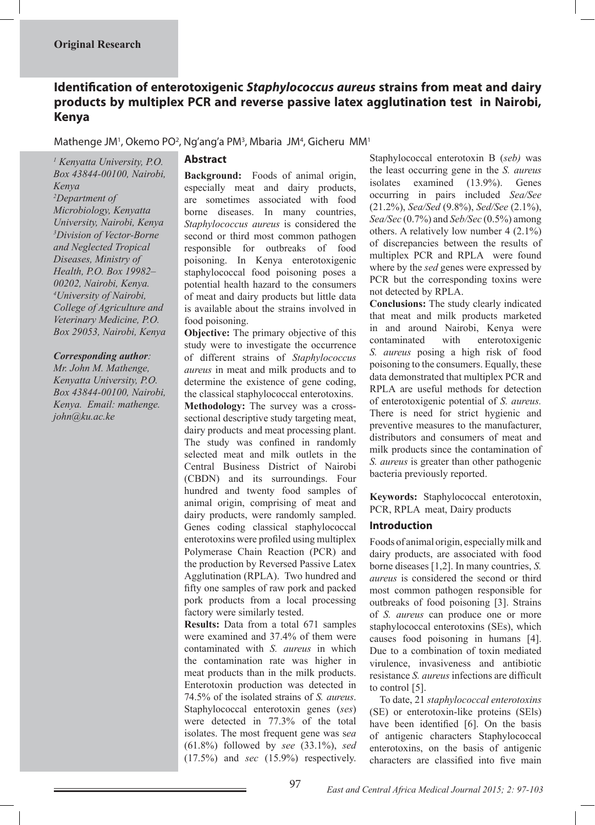# **Identification of enterotoxigenic** *Staphylococcus aureus* **strains from meat and dairy products by multiplex PCR and reverse passive latex agglutination test in Nairobi, Kenya**

Mathenge JM<sup>1</sup>, Okemo PO<sup>2</sup>, Ng'ang'a PM<sup>3</sup>, Mbaria JM<sup>4</sup>, Gicheru MM<sup>1</sup>

### *1 Kenyatta University, P.O. Box 43844-00100, Nairobi, Kenya 2 Department of Microbiology, Kenyatta University, Nairobi, Kenya 3 Division of Vector-Borne and Neglected Tropical Diseases, Ministry of Health, P.O. Box 19982– 00202, Nairobi, Kenya. 4 University of Nairobi, College of Agriculture and Veterinary Medicine, P.O. Box 29053, Nairobi, Kenya*

### *Corresponding author:*

*Mr. John M. Mathenge, Kenyatta University, P.O. Box 43844-00100, Nairobi, Kenya. Email: mathenge. john@ku.ac.ke*

## **Abstract**

**Background:** Foods of animal origin, especially meat and dairy products, are sometimes associated with food borne diseases. In many countries, *Staphylococcus aureus* is considered the second or third most common pathogen responsible for outbreaks of food poisoning. In Kenya enterotoxigenic staphylococcal food poisoning poses a potential health hazard to the consumers of meat and dairy products but little data is available about the strains involved in food poisoning.

**Objective:** The primary objective of this study were to investigate the occurrence of different strains of *Staphylococcus aureus* in meat and milk products and to determine the existence of gene coding, the classical staphylococcal enterotoxins. **Methodology:** The survey was a crosssectional descriptive study targeting meat, dairy products and meat processing plant. The study was confined in randomly selected meat and milk outlets in the Central Business District of Nairobi (CBDN) and its surroundings. Four hundred and twenty food samples of animal origin, comprising of meat and dairy products, were randomly sampled. Genes coding classical staphylococcal enterotoxins were profiled using multiplex Polymerase Chain Reaction (PCR) and the production by Reversed Passive Latex Agglutination (RPLA). Two hundred and fifty one samples of raw pork and packed pork products from a local processing factory were similarly tested.

**Results:** Data from a total 671 samples were examined and 37.4% of them were contaminated with *S. aureus* in which the contamination rate was higher in meat products than in the milk products. Enterotoxin production was detected in 74.5% of the isolated strains of *S. aureus*. Staphylococcal enterotoxin genes (*ses*) were detected in 77.3% of the total isolates. The most frequent gene was s*ea* (61.8%) followed by *see* (33.1%), *sed*  (17.5%) and *sec* (15.9%) respectively.

Staphylococcal enterotoxin B (*seb)* was the least occurring gene in the *S. aureus* isolates examined (13.9%). Genes occurring in pairs included *Sea/See* (21.2%), *Sea/Sed* (9.8%), *Sed/See* (2.1%), *Sea/Sec* (0.7%) and *Seb/Sec* (0.5%) among others. A relatively low number 4 (2.1%) of discrepancies between the results of multiplex PCR and RPLA were found where by the *sed* genes were expressed by PCR but the corresponding toxins were not detected by RPLA.

**Conclusions:** The study clearly indicated that meat and milk products marketed in and around Nairobi, Kenya were contaminated with enterotoxigenic *S. aureus* posing a high risk of food poisoning to the consumers. Equally, these data demonstrated that multiplex PCR and RPLA are useful methods for detection of enterotoxigenic potential of *S. aureus.* There is need for strict hygienic and preventive measures to the manufacturer, distributors and consumers of meat and milk products since the contamination of *S. aureus* is greater than other pathogenic bacteria previously reported.

**Keywords:** Staphylococcal enterotoxin, PCR, RPLA meat, Dairy products

# **Introduction**

Foods of animal origin, especially milk and dairy products, are associated with food borne diseases [1,2]. In many countries, *S. aureus* is considered the second or third most common pathogen responsible for outbreaks of food poisoning [3]. Strains of *S. aureus* can produce one or more staphylococcal enterotoxins (SEs), which causes food poisoning in humans [4]. Due to a combination of toxin mediated virulence, invasiveness and antibiotic resistance *S. aureus* infections are difficult to control [5].

To date, 21 *staphylococcal enterotoxins* (SE) or enterotoxin-like proteins (SEls) have been identified [6]. On the basis of antigenic characters Staphylococcal enterotoxins, on the basis of antigenic characters are classified into five main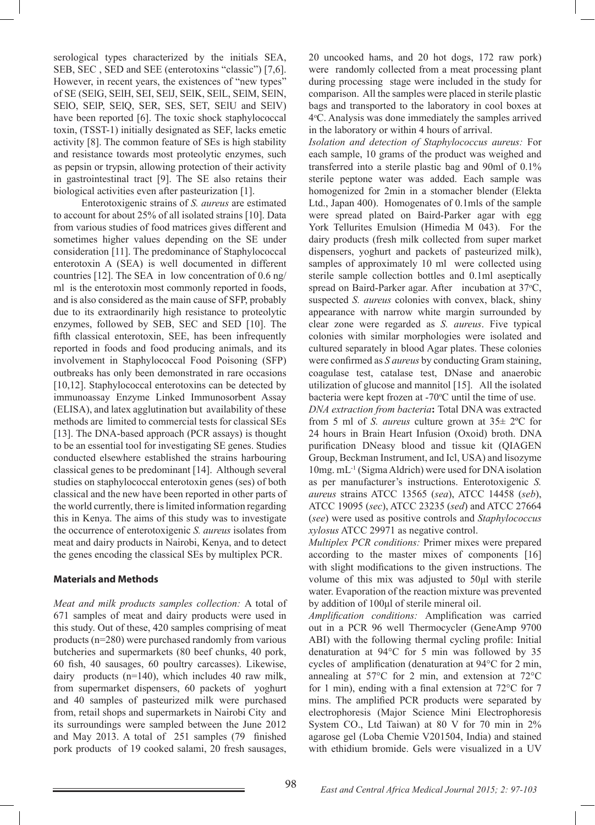serological types characterized by the initials SEA, SEB, SEC , SED and SEE (enterotoxins "classic") [7,6]. However, in recent years, the existences of "new types" of SE (SElG, SElH, SEI, SElJ, SElK, SElL, SElM, SElN, SElO, SElP, SElQ, SER, SES, SET, SElU and SElV) have been reported [6]. The toxic shock staphylococcal toxin, (TSST-1) initially designated as SEF, lacks emetic activity [8]. The common feature of SEs is high stability and resistance towards most proteolytic enzymes, such as pepsin or trypsin, allowing protection of their activity in gastrointestinal tract [9]. The SE also retains their biological activities even after pasteurization [1].

 Enterotoxigenic strains of *S. aureus* are estimated to account for about 25% of all isolated strains [10]. Data from various studies of food matrices gives different and sometimes higher values depending on the SE under consideration [11]. The predominance of Staphylococcal enterotoxin A (SEA) is well documented in different countries [12]. The SEA in low concentration of 0.6 ng/ ml is the enterotoxin most commonly reported in foods, and is also considered as the main cause of SFP, probably due to its extraordinarily high resistance to proteolytic enzymes, followed by SEB, SEC and SED [10]. The fifth classical enterotoxin, SEE, has been infrequently reported in foods and food producing animals, and its involvement in Staphylococcal Food Poisoning (SFP) outbreaks has only been demonstrated in rare occasions [10,12]. Staphylococcal enterotoxins can be detected by immunoassay Enzyme Linked Immunosorbent Assay (ELISA), and latex agglutination but availability of these methods are limited to commercial tests for classical SEs [13]. The DNA-based approach (PCR assays) is thought to be an essential tool for investigating SE genes. Studies conducted elsewhere established the strains harbouring classical genes to be predominant [14]. Although several studies on staphylococcal enterotoxin genes (ses) of both classical and the new have been reported in other parts of the world currently, there is limited information regarding this in Kenya. The aims of this study was to investigate the occurrence of enterotoxigenic *S. aureus* isolates from meat and dairy products in Nairobi, Kenya, and to detect the genes encoding the classical SEs by multiplex PCR.

### **Materials and Methods**

*Meat and milk products samples collection:* A total of 671 samples of meat and dairy products were used in this study. Out of these, 420 samples comprising of meat products (n=280) were purchased randomly from various butcheries and supermarkets (80 beef chunks, 40 pork, 60 fish, 40 sausages, 60 poultry carcasses). Likewise, dairy products (n=140), which includes 40 raw milk, from supermarket dispensers, 60 packets of yoghurt and 40 samples of pasteurized milk were purchased from, retail shops and supermarkets in Nairobi City and its surroundings were sampled between the June 2012 and May 2013. A total of 251 samples (79 finished pork products of 19 cooked salami, 20 fresh sausages,

20 uncooked hams, and 20 hot dogs, 172 raw pork) were randomly collected from a meat processing plant during processing stage were included in the study for comparison. All the samples were placed in sterile plastic bags and transported to the laboratory in cool boxes at 4o C. Analysis was done immediately the samples arrived in the laboratory or within 4 hours of arrival.

*Isolation and detection of Staphylococcus aureus:* For each sample, 10 grams of the product was weighed and transferred into a sterile plastic bag and 90ml of 0.1% sterile peptone water was added. Each sample was homogenized for 2min in a stomacher blender (Elekta Ltd., Japan 400). Homogenates of 0.1mls of the sample were spread plated on Baird-Parker agar with egg York Tellurites Emulsion (Himedia M 043). For the dairy products (fresh milk collected from super market dispensers, yoghurt and packets of pasteurized milk), samples of approximately 10 ml were collected using sterile sample collection bottles and 0.1ml aseptically spread on Baird-Parker agar. After incubation at 37°C, suspected *S. aureus* colonies with convex, black, shiny appearance with narrow white margin surrounded by clear zone were regarded as *S. aureus*. Five typical colonies with similar morphologies were isolated and cultured separately in blood Agar plates. These colonies were confirmed as *S aureus* by conducting Gram staining, coagulase test, catalase test, DNase and anaerobic utilization of glucose and mannitol [15]. All the isolated bacteria were kept frozen at -70°C until the time of use.

*DNA extraction from bacteria***:** Total DNA was extracted from 5 ml of *S. aureus* culture grown at 35± 2ºC for 24 hours in Brain Heart Infusion (Oxoid) broth. DNA purification DNeasy blood and tissue kit (QIAGEN Group, Beckman Instrument, and Icl, USA) and lisozyme 10mg. mL-1 (Sigma Aldrich) were used for DNA isolation as per manufacturer's instructions. Enterotoxigenic *S. aureus* strains ATCC 13565 (*sea*), ATCC 14458 (*seb*), ATCC 19095 (*sec*), ATCC 23235 (*sed*) and ATCC 27664 (*see*) were used as positive controls and *Staphylococcus xylosus* ATCC 29971 as negative control.

*Multiplex PCR conditions:* Primer mixes were prepared according to the master mixes of components [16] with slight modifications to the given instructions. The volume of this mix was adjusted to 50μl with sterile water. Evaporation of the reaction mixture was prevented by addition of 100μl of sterile mineral oil.

*Amplification conditions:* Amplification was carried out in a PCR 96 well Thermocycler (GeneAmp 9700 ABI) with the following thermal cycling profile: Initial denaturation at 94°C for 5 min was followed by 35 cycles of amplification (denaturation at 94°C for 2 min, annealing at 57°C for 2 min, and extension at 72°C for 1 min), ending with a final extension at 72°C for 7 mins. The amplified PCR products were separated by electrophoresis (Major Science Mini Electrophoresis System CO., Ltd Taiwan) at 80 V for 70 min in 2% agarose gel (Loba Chemie V201504, India) and stained with ethidium bromide. Gels were visualized in a UV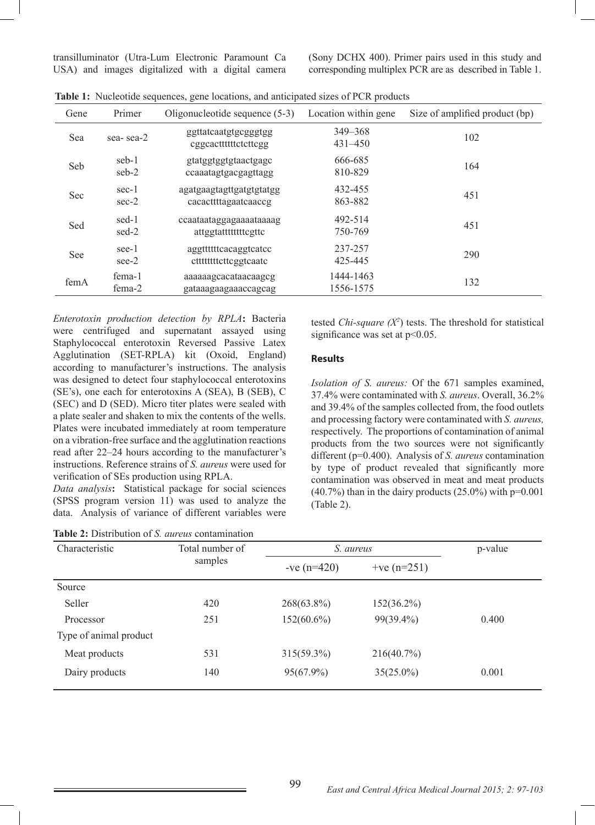transilluminator (Utra-Lum Electronic Paramount Ca USA) and images digitalized with a digital camera

(Sony DCHX 400). Primer pairs used in this study and corresponding multiplex PCR are as described in Table 1.

| Gene | Primer             | Oligonucleotide sequence (5-3)                    | Location within gene       | Size of amplified product (bp) |
|------|--------------------|---------------------------------------------------|----------------------------|--------------------------------|
| Sea  | sea-sea-2          | ggttatcaatgtgcgggtgg<br>eggeactititietettegg      | $349 - 368$<br>$431 - 450$ | 102                            |
| Seb  | seb-1<br>seb-2     | gtatggtggtgtaactgagc<br>ccaaatagtgacgagttagg      | 666-685<br>810-829         | 164                            |
| Sec  | $sec-1$<br>$sec-2$ | agatgaagtagttgatgtgtatgg<br>cacacttttagaatcaaccg  | 432-455<br>863-882         | 451                            |
| Sed  | sed-1<br>sed-2     | ccaataataggagaaaataaaag<br>attggtatttttttttcgttc  | 492-514<br>750-769         | 451                            |
| See  | see-1<br>see-2     | aggttttttcacaggtcatcc<br>ctttttttttttcttcggtcaatc | 237-257<br>425-445         | 290                            |
| femA | fema-1<br>fema-2   | aaaaaagcacataacaagcg<br>gataaagaagaaaccagcag      | 1444-1463<br>1556-1575     | 132                            |

|  | Table 1: Nucleotide sequences, gene locations, and anticipated sizes of PCR products |  |  |  |  |
|--|--------------------------------------------------------------------------------------|--|--|--|--|
|--|--------------------------------------------------------------------------------------|--|--|--|--|

*Enterotoxin production detection by RPLA***:** Bacteria were centrifuged and supernatant assayed using Staphylococcal enterotoxin Reversed Passive Latex Agglutination (SET-RPLA) kit (Oxoid, England) according to manufacturer's instructions. The analysis was designed to detect four staphylococcal enterotoxins (SE's), one each for enterotoxins A (SEA), B (SEB), C (SEC) and D (SED). Micro titer plates were sealed with a plate sealer and shaken to mix the contents of the wells. Plates were incubated immediately at room temperature on a vibration-free surface and the agglutination reactions read after 22–24 hours according to the manufacturer's instructions. Reference strains of *S. aureus* were used for verification of SEs production using RPLA.

*Data analysis***:** Statistical package for social sciences (SPSS program version 11) was used to analyze the data. Analysis of variance of different variables were

| <b>Table 2:</b> Distribution of <i>S. aureus</i> contamination |  |
|----------------------------------------------------------------|--|
|----------------------------------------------------------------|--|

tested *Chi-square*  $(X^2)$  tests. The threshold for statistical significance was set at  $p<0.05$ .

### **Results**

*Isolation of S. aureus:* Of the 671 samples examined, 37.4% were contaminated with *S. aureus*. Overall, 36.2% and 39.4% of the samples collected from, the food outlets and processing factory were contaminated with *S. aureus,*  respectively. The proportions of contamination of animal products from the two sources were not significantly different (p=0.400). Analysis of *S. aureus* contamination by type of product revealed that significantly more contamination was observed in meat and meat products  $(40.7%)$  than in the dairy products  $(25.0%)$  with  $p=0.001$ (Table 2).

| Characteristic         | Total number of |               | S. aureus      |       |
|------------------------|-----------------|---------------|----------------|-------|
|                        | samples         | $-ve (n=420)$ | + $ve (n=251)$ |       |
| Source                 |                 |               |                |       |
| Seller                 | 420             | $268(63.8\%)$ | $152(36.2\%)$  |       |
| Processor              | 251             | $152(60.6\%)$ | $99(39.4\%)$   | 0.400 |
| Type of animal product |                 |               |                |       |
| Meat products          | 531             | $315(59.3\%)$ | 216(40.7%)     |       |
| Dairy products         | 140             | $95(67.9\%)$  | $35(25.0\%)$   | 0.001 |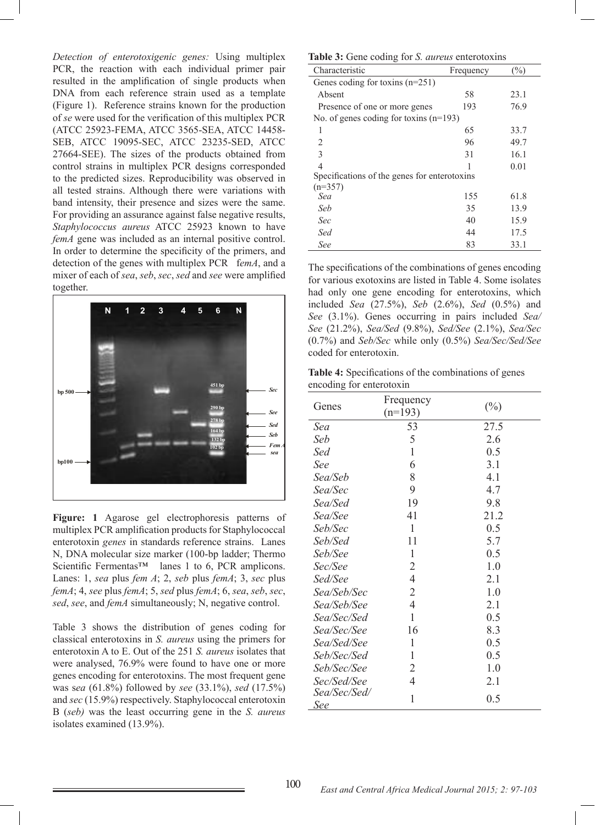*Detection of enterotoxigenic genes:* Using multiplex PCR, the reaction with each individual primer pair resulted in the amplification of single products when DNA from each reference strain used as a template (Figure 1). Reference strains known for the production of *se* were used for the verification of this multiplex PCR (ATCC 25923-FEMA, ATCC 3565-SEA, ATCC 14458- SEB, ATCC 19095-SEC, ATCC 23235-SED, ATCC 27664-SEE). The sizes of the products obtained from control strains in multiplex PCR designs corresponded to the predicted sizes. Reproducibility was observed in all tested strains. Although there were variations with band intensity, their presence and sizes were the same. For providing an assurance against false negative results, *Staphylococcus aureus* ATCC 25923 known to have *femA* gene was included as an internal positive control. In order to determine the specificity of the primers, and detection of the genes with multiplex PCR f*emA*, and a mixer of each of *sea*, *seb*, *sec*, *sed* and *see* were amplified together.



**Figure: 1** Agarose gel electrophoresis patterns of multiplex PCR amplification products for Staphylococcal enterotoxin *genes* in standards reference strains. Lanes N, DNA molecular size marker (100-bp ladder; Thermo Scientific Fermentas<sup>™</sup> lanes 1 to 6, PCR amplicons. Lanes: 1, *sea* plus *fem A*; 2, *seb* plus *femA*; 3, *sec* plus *femA*; 4, *see* plus *femA*; 5, *sed* plus *femA*; 6, *sea*, *seb*, *sec*, *sed*, *see*, and *femA* simultaneously; N, negative control.

Table 3 shows the distribution of genes coding for classical enterotoxins in *S. aureus* using the primers for enterotoxin A to E. Out of the 251 *S. aureus* isolates that were analysed, 76.9% were found to have one or more genes encoding for enterotoxins. The most frequent gene was s*ea* (61.8%) followed by *see* (33.1%), *sed* (17.5%) and *sec* (15.9%) respectively. Staphylococcal enterotoxin B (*seb)* was the least occurring gene in the *S. aureus* isolates examined (13.9%).

#### **Table 3:** Gene coding for *S. aureus* enterotoxins

| <b>THOICE.</b> Some country for <i>D. Will clip chief of change</i> |           |        |  |  |
|---------------------------------------------------------------------|-----------|--------|--|--|
| Characteristic                                                      | Frequency | $(\%)$ |  |  |
| Genes coding for toxins $(n=251)$                                   |           |        |  |  |
| Absent                                                              | 58        | 23.1   |  |  |
| Presence of one or more genes                                       | 193       | 76.9   |  |  |
| No. of genes coding for toxins $(n=193)$                            |           |        |  |  |
| 1                                                                   | 65        | 33.7   |  |  |
| 2                                                                   | 96        | 49.7   |  |  |
| 3                                                                   | 31        | 16.1   |  |  |
| 4                                                                   |           | 0.01   |  |  |
| Specifications of the genes for enterotoxins                        |           |        |  |  |
| $(n=357)$                                                           |           |        |  |  |
| Sea                                                                 | 155       | 61.8   |  |  |
| Seb                                                                 | 35        | 13.9   |  |  |
| Sec                                                                 | 40        | 15.9   |  |  |
| Sed                                                                 | 44        | 17.5   |  |  |
| See                                                                 | 83        | 33.1   |  |  |

The specifications of the combinations of genes encoding for various exotoxins are listed in Table 4. Some isolates had only one gene encoding for enterotoxins, which included *Sea* (27.5%), *Seb* (2.6%), *Sed* (0.5%) and *See* (3.1%). Genes occurring in pairs included *Sea/ See* (21.2%), *Sea/Sed* (9.8%), *Sed/See* (2.1%), *Sea/Sec* (0.7%) and *Seb/Sec* while only (0.5%) *Sea/Sec/Sed/See* coded for enterotoxin.

**Table 4:** Specifications of the combinations of genes encoding for enterotoxin

| Genes               | Frequency<br>$(n=193)$ | $(\%)$ |
|---------------------|------------------------|--------|
| Sea                 | 53                     | 27.5   |
| Seb                 | 5                      | 2.6    |
| Sed                 | $\mathbf{1}$           | 0.5    |
| See                 | 6                      | 3.1    |
| Sea/Seb             | 8                      | 4.1    |
| Sea/Sec             | 9                      | 4.7    |
| Sea/Sed             | 19                     | 9.8    |
| Sea/See             | 41                     | 21.2   |
| Seb/Sec             | 1                      | 0.5    |
| Seb/Sed             | 11                     | 5.7    |
| Seb/See             | 1                      | 0.5    |
| Sec/See             | 2                      | 1.0    |
| Sed/See             | $\overline{4}$         | 2.1    |
| Sea/Seb/Sec         | $\overline{2}$         | 1.0    |
| Sea/Seb/See         | $\overline{4}$         | 2.1    |
| Sea/Sec/Sed         | $\mathbf{1}$           | 0.5    |
| Sea/Sec/See         | 16                     | 8.3    |
| Sea/Sed/See         | 1                      | 0.5    |
| Seb/Sec/Sed         | 1                      | 0.5    |
| Seb/Sec/See         | 2                      | 1.0    |
| Sec/Sed/See         | $\overline{4}$         | 2.1    |
| Sea/Sec/Sed/<br>See | 1                      | 0.5    |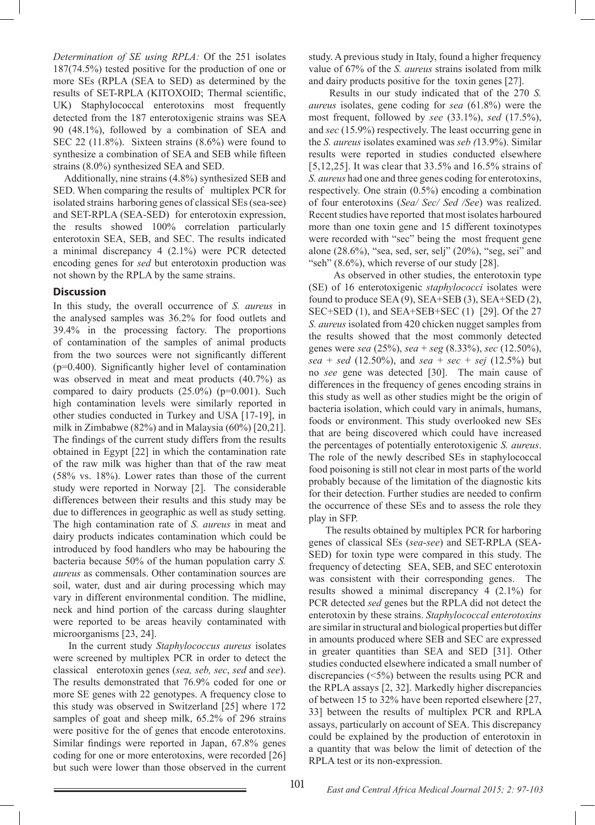*Determination of SE using RPLA:* Of the 251 isolates 187(74.5%) tested positive for the production of one or more SEs (RPLA (SEA to SED) as determined by the results of SET-RPLA (KITOXOID; Thermal scientific, UK) Staphylococcal enterotoxins most frequently detected from the 187 enterotoxigenic strains was SEA 90 (48.1%), followed by a combination of SEA and SEC 22 (11.8%). Sixteen strains (8.6%) were found to synthesize a combination of SEA and SEB while fifteen strains (8.0%) synthesized SEA and SED.

 Additionally, nine strains (4.8%) synthesized SEB and SED. When comparing the results of multiplex PCR for isolated strains harboring genes of classical SEs (sea-see) and SET-RPLA (SEA-SED) for enterotoxin expression, the results showed 100% correlation particularly enterotoxin SEA, SEB, and SEC. The results indicated a minimal discrepancy 4 (2.1%) were PCR detected encoding genes for *sed* but enterotoxin production was not shown by the RPLA by the same strains.

#### **Discussion**

In this study, the overall occurrence of *S. aureus* in the analysed samples was 36.2% for food outlets and 39.4% in the processing factory. The proportions of contamination of the samples of animal products from the two sources were not significantly different (p=0.400). Significantly higher level of contamination was observed in meat and meat products (40.7%) as compared to dairy products  $(25.0\%)$  (p=0.001). Such high contamination levels were similarly reported in other studies conducted in Turkey and USA [17-19], in milk in Zimbabwe (82%) and in Malaysia (60%) [20,21]. The findings of the current study differs from the results obtained in Egypt [22] in which the contamination rate of the raw milk was higher than that of the raw meat (58% vs. 18%). Lower rates than those of the current study were reported in Norway [2]. The considerable differences between their results and this study may be due to differences in geographic as well as study setting. The high contamination rate of *S. aureus* in meat and dairy products indicates contamination which could be introduced by food handlers who may be habouring the bacteria because 50% of the human population carry *S. aureus* as commensals. Other contamination sources are soil, water, dust and air during processing which may vary in different environmental condition. The midline, neck and hind portion of the carcass during slaughter were reported to be areas heavily contaminated with microorganisms [23, 24].

In the current study *Staphylococcus aureus* isolates were screened by multiplex PCR in order to detect the classical enterotoxin genes (*sea, seb, sec*, *sed* and *see*). The results demonstrated that 76.9% coded for one or more SE genes with 22 genotypes. A frequency close to this study was observed in Switzerland [25] where 172 samples of goat and sheep milk, 65.2% of 296 strains were positive for the of genes that encode enterotoxins. Similar findings were reported in Japan, 67.8% genes coding for one or more enterotoxins, were recorded [26] but such were lower than those observed in the current

study. A previous study in Italy, found a higher frequency value of 67% of the *S. aureus* strains isolated from milk and dairy products positive for the toxin genes [27].

 Results in our study indicated that of the 270 *S. aureus* isolates, gene coding for *sea* (61.8%) were the most frequent, followed by *see* (33.1%), *sed* (17.5%), and *sec* (15.9%) respectively. The least occurring gene in the *S. aureus* isolates examined was *seb (*13.9%). Similar results were reported in studies conducted elsewhere [5,12,25]. It was clear that 33.5% and 16.5% strains of *S. aureus* had one and three genes coding for enterotoxins, respectively. One strain (0.5%) encoding a combination of four enterotoxins (*Sea/ Sec/ Sed /See*) was realized. Recent studies have reported that most isolates harboured more than one toxin gene and 15 different toxinotypes were recorded with "sec" being the most frequent gene alone (28.6%), "sea, sed, ser, selj" (20%), "seg, sei" and "seh"  $(8.6\%)$ , which reverse of our study [28].

 As observed in other studies, the enterotoxin type (SE) of 16 enterotoxigenic *staphylococci* isolates were found to produce SEA (9), SEA+SEB (3), SEA+SED (2), SEC+SED (1), and SEA+SEB+SEC (1) [29]. Of the 27 *S. aureus* isolated from 420 chicken nugget samples from the results showed that the most commonly detected genes were *sea* (25%), *sea* + *seg* (8.33%), *sec* (12.50%), *sea* + *sed* (12.50%), and *sea* + *sec* + *sej* (12.5%) but no *see* gene was detected [30]. The main cause of differences in the frequency of genes encoding strains in this study as well as other studies might be the origin of bacteria isolation, which could vary in animals, humans, foods or environment. This study overlooked new SEs that are being discovered which could have increased the percentages of potentially enterotoxigenic *S. aureus*. The role of the newly described SEs in staphylococcal food poisoning is still not clear in most parts of the world probably because of the limitation of the diagnostic kits for their detection. Further studies are needed to confirm the occurrence of these SEs and to assess the role they play in SFP.

 The results obtained by multiplex PCR for harboring genes of classical SEs (*sea*-*see*) and SET-RPLA (SEA-SED) for toxin type were compared in this study. The frequency of detecting SEA, SEB, and SEC enterotoxin was consistent with their corresponding genes. The results showed a minimal discrepancy 4 (2.1%) for PCR detected *sed* genes but the RPLA did not detect the enterotoxin by these strains. *Staphylococcal enterotoxins* are similar in structural and biological properties but differ in amounts produced where SEB and SEC are expressed in greater quantities than SEA and SED [31]. Other studies conducted elsewhere indicated a small number of discrepancies (<5%) between the results using PCR and the RPLA assays [2, 32]. Markedly higher discrepancies of between 15 to 32% have been reported elsewhere [27, 33] between the results of multiplex PCR and RPLA assays, particularly on account of SEA. This discrepancy could be explained by the production of enterotoxin in a quantity that was below the limit of detection of the RPLA test or its non-expression.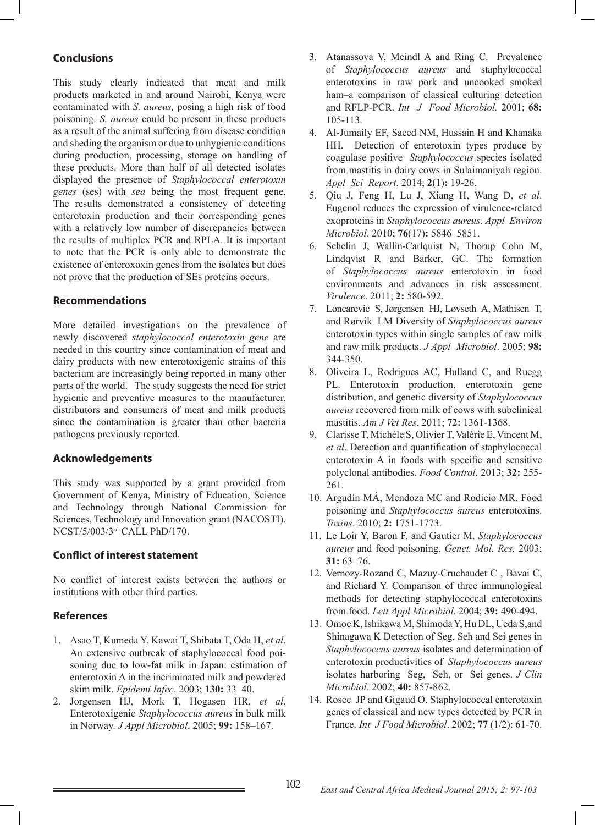# **Conclusions**

This study clearly indicated that meat and milk products marketed in and around Nairobi, Kenya were contaminated with *S. aureus,* posing a high risk of food poisoning. *S. aureus* could be present in these products as a result of the animal suffering from disease condition and sheding the organism or due to unhygienic conditions during production, processing, storage on handling of these products. More than half of all detected isolates displayed the presence of *Staphylococcal enterotoxin genes* (ses) with *sea* being the most frequent gene. The results demonstrated a consistency of detecting enterotoxin production and their corresponding genes with a relatively low number of discrepancies between the results of multiplex PCR and RPLA. It is important to note that the PCR is only able to demonstrate the existence of enteroxoxin genes from the isolates but does not prove that the production of SEs proteins occurs.

### **Recommendations**

More detailed investigations on the prevalence of newly discovered *staphylococcal enterotoxin gene* are needed in this country since contamination of meat and dairy products with new enterotoxigenic strains of this bacterium are increasingly being reported in many other parts of the world. The study suggests the need for strict hygienic and preventive measures to the manufacturer, distributors and consumers of meat and milk products since the contamination is greater than other bacteria pathogens previously reported.

# **Acknowledgements**

This study was supported by a grant provided from Government of Kenya, Ministry of Education, Science and Technology through National Commission for Sciences, Technology and Innovation grant (NACOSTI). NCST/5/003/3rd CALL PhD/170.

# **Conflict of interest statement**

No conflict of interest exists between the authors or institutions with other third parties.

### **References**

- 1. Asao T, Kumeda Y, Kawai T, Shibata T, Oda H, *et al*. An extensive outbreak of staphylococcal food poisoning due to low-fat milk in Japan: estimation of enterotoxin A in the incriminated milk and powdered skim milk. *Epidemi Infec*. 2003; **130:** 33–40.
- 2. Jorgensen HJ, Mork T, Hogasen HR, *et al*, Enterotoxigenic *Staphylococcus aureus* in bulk milk in Norway. *J Appl Microbiol*. 2005; **99:** 158–167.
- 3. Atanassova V, Meindl A and Ring C. Prevalence of *Staphylococcus aureus* and staphylococcal enterotoxins in raw pork and uncooked smoked ham–a comparison of classical culturing detection and RFLP-PCR. *Int J Food Microbiol.* 2001; **68:** 105-113.
- 4. Al-Jumaily EF, Saeed NM, Hussain H and Khanaka HH. Detection of enterotoxin types produce by coagulase positive *Staphylococcus* species isolated from mastitis in dairy cows in Sulaimaniyah region. *Appl Sci Report*. 2014; **2**(1)**:** 19-26.
- 5. Qiu J, Feng H, Lu J, Xiang H, Wang D, *et al*. Eugenol reduces the expression of virulence-related exoproteins in *Staphylococcus aureus. Appl Environ Microbiol*. 2010; **76**(17)**:** 5846–5851.
- 6. Schelin J, Wallin-Carlquist N, Thorup Cohn M, Lindqvist R and Barker, GC. The formation of *Staphylococcus aureus* enterotoxin in food environments and advances in risk assessment. *Virulence*. 2011; **2:** 580-592.
- 7. Loncarevic S, Jørgensen HJ, Løvseth A, Mathisen T, and Rørvik LM Diversity of *Staphylococcus aureus* enterotoxin types within single samples of raw milk and raw milk products. *J Appl Microbiol*. 2005; **98:** 344-350.
- 8. Oliveira L, Rodrigues AC, Hulland C, and Ruegg PL. Enterotoxin production, enterotoxin gene distribution, and genetic diversity of *Staphylococcus aureus* recovered from milk of cows with subclinical mastitis. *Am J Vet Res*. 2011; **72:** 1361-1368.
- 9. Clarisse T, Michèle S, Olivier T, Valérie E, Vincent M, *et al*. Detection and quantification of staphylococcal enterotoxin A in foods with specific and sensitive polyclonal antibodies. *Food Control*. 2013; **32:** 255- 261.
- 10. Argudín MÁ, Mendoza MC and Rodicio MR. Food poisoning and *Staphylococcus aureus* enterotoxins. *Toxins*. 2010; **2:** 1751-1773.
- 11. Le Loir Y, Baron F. and Gautier M. *Staphylococcus aureus* and food poisoning. *Genet. Mol. Res.* 2003; **31:** 63–76.
- 12. Vernozy-Rozand C, Mazuy-Cruchaudet C , Bavai C, and Richard Y. Comparison of three immunological methods for detecting staphylococcal enterotoxins from food. *Lett Appl Microbiol*. 2004; **39:** 490-494.
- 13. Omoe K, Ishikawa M, Shimoda Y, Hu DL, Ueda S,and Shinagawa K Detection of Seg, Seh and Sei genes in *Staphylococcus aureus* isolates and determination of enterotoxin productivities of *Staphylococcus aureus* isolates harboring Seg, Seh, or Sei genes. *J Clin Microbiol*. 2002; **40:** 857-862.
- 14. Rosec JP and Gigaud O. Staphylococcal enterotoxin genes of classical and new types detected by PCR in France. *Int J Food Microbiol*. 2002; **77** (1/2): 61-70.